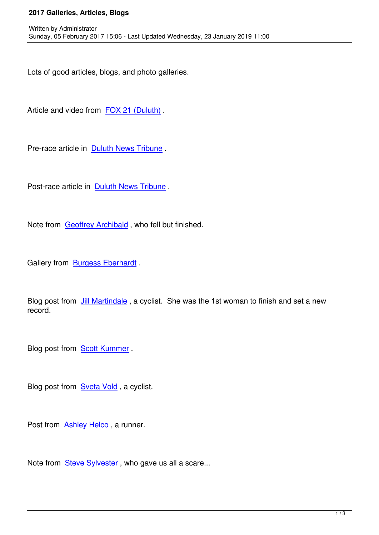Lots of good articles, blogs, and photo galleries.

Article and video from FOX 21 (Duluth).

Written by Administrator and Administrator and Administrator and Administrator and Administrator and Administrator and Administrator and Administrator and Administrator and Administrator and Administrator and Administrator

Pre-race article in Dul[uth News Tribune](http://www.fox21online.com/2017/01/31/runners-bikers-skiers-travel-135-miles-snow/) .

Post-race article in [Duluth News Tribune](http://www.duluthnewstribune.com/outdoors/4207528-ultra-grueling-arrowhead-135-starts-monday) .

Note from Geoffrey Archibald [, who fell b](http://www.duluthnewstribune.com/sports/4209426-good-trail-mild-weather-lead-broken-records-arrowhead-135-race)ut finished.

Gallery fro[m Burgess Eberhar](index.php/news/2017-galleries-articles-blogs/137-geoffrey-archibald)dt .

Blog post fro[m Jill Martindale](https://photos.google.com/share/AF1QipPjJDJ2KnbzR8-4pvW5ZRAii5Non6vMlEDTsptnJ1vUnUXDbX5kT6tBSUc66SJkaA?key=d1YyQ3d5UlVXQ09yZmdHa1RPYjhRX2VOWnMycklB) , a cyclist. She was the 1st woman to finish and set a new record.

Blog post from **Scott Kummer**.

Blog post from [Sveta Vold](http://urbanultra.blogspot.com/2017/02/arrowhead-135-race-report-fueled-by.html) , a cyclist.

Post from **Ashl[ey Helco](https://wildwaymn.blogspot.com/2017/02/arrowhead-135.html)**, a runner.

Note from **[Steve Sylves](https://www.facebook.com/ashley.heclo/posts/10154488855053198)ter**, who gave us all a scare...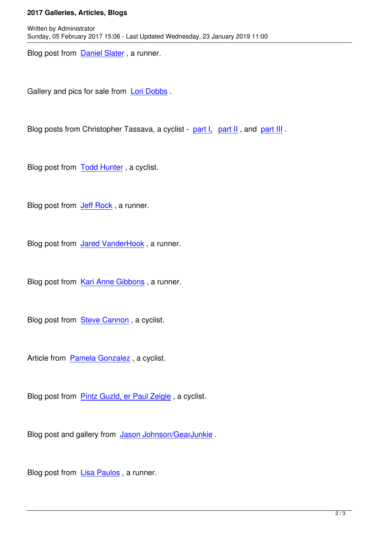Blog post from Daniel Slater , a runner.

Written by Administrator and Administrator and Administrator and Administrator and Administrator and Administrator and Administrator and Administrator and Administrator and Administrator and Administrator and Administrator

Gallery and pic[s for sale from](http://ultradanners.blogspot.com/2017/02/impossible-arrowhead-135.html) Lori Dobbs .

Blog posts from Christopher T[assava, a cy](http://lori-dobbs.pixels.com/collections/2017+arrowhead+ultra)clist - part I, part II, and part III.

Blog post from **Todd Hunter**, a cyclist.

Blog post from **[Jeff Rock](http://greenstoneguide.blogspot.com/2017/02/arrowhead-2017-first-go.html)**, a runner.

Blog post from [Jared Van](https://234dreambigtherearenolimits.wordpress.com/2017/02/08/2017-arrowhead-135-a-journey/)derHook, a runner.

Blog post from [Kari Anne Gibbons](https://mplstrailrunner.wordpress.com/2017/02/09/arrowhead-2017-keep-on/), a runner.

Blog post from **[Steve Cannon](https://whenoutsideblog.wordpress.com/2017/02/10/arrowhead-2017-chasing-the-order-part-twogummie-bear-feast/)**, a cyclist.

Article from Pa[mela Gonzalez](http://expandyourpossible.blogspot.com/2017/02/arrowhead-135-race-thats-not-race.html) , a cyclist.

Blog post fr[om Pintz Guzld, er](index.php/news/2017-galleries-articles-blogs/141-pamela-gonzalez) Paul Zeigle , a cyclist.

Blog post and g[allery from Jason Johnson](http://surlybikes.com/blog)/GearJunkie .

Blog post from Lisa Paulos [, a runner.](https://gearjunkie.com/roundup/2017-arrowhead-135-ultra-photos#UnprecedentedYear)